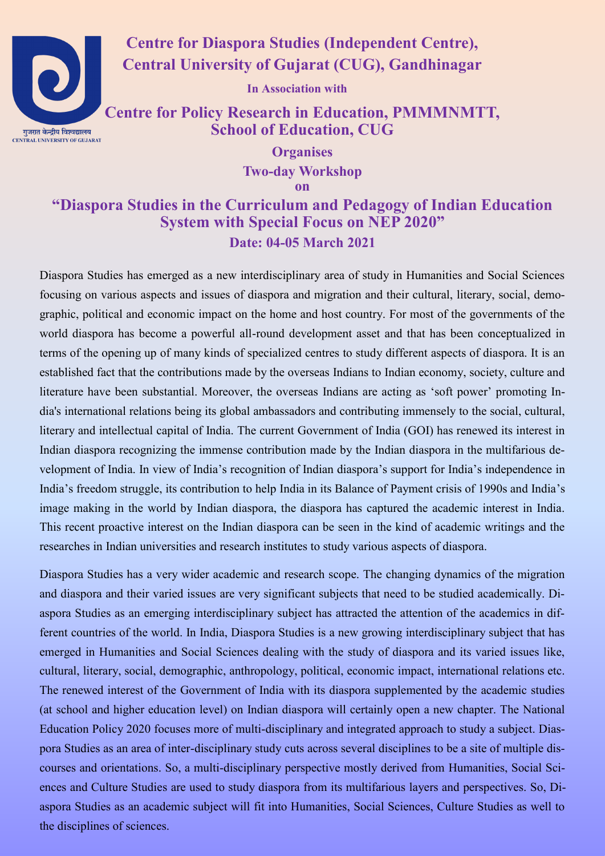

**Centre for Diaspora Studies (Independent Centre), Central University of Gujarat (CUG), Gandhinagar**

**In Association with**

**Centre for Policy Research in Education, PMMMNMTT, School of Education, CUG**

> **Organises Two-day Workshop**

**on**

### **"Diaspora Studies in the Curriculum and Pedagogy of Indian Education System with Special Focus on NEP 2020" Date: 04-05 March 2021**

Diaspora Studies has emerged as a new interdisciplinary area of study in Humanities and Social Sciences focusing on various aspects and issues of diaspora and migration and their cultural, literary, social, demographic, political and economic impact on the home and host country. For most of the governments of the world diaspora has become a powerful all-round development asset and that has been conceptualized in terms of the opening up of many kinds of specialized centres to study different aspects of diaspora. It is an established fact that the contributions made by the overseas Indians to Indian economy, society, culture and literature have been substantial. Moreover, the overseas Indians are acting as 'soft power' promoting India's international relations being its global ambassadors and contributing immensely to the social, cultural, literary and intellectual capital of India. The current Government of India (GOI) has renewed its interest in Indian diaspora recognizing the immense contribution made by the Indian diaspora in the multifarious development of India. In view of India's recognition of Indian diaspora's support for India's independence in India's freedom struggle, its contribution to help India in its Balance of Payment crisis of 1990s and India's image making in the world by Indian diaspora, the diaspora has captured the academic interest in India. This recent proactive interest on the Indian diaspora can be seen in the kind of academic writings and the researches in Indian universities and research institutes to study various aspects of diaspora.

Diaspora Studies has a very wider academic and research scope. The changing dynamics of the migration and diaspora and their varied issues are very significant subjects that need to be studied academically. Diaspora Studies as an emerging interdisciplinary subject has attracted the attention of the academics in different countries of the world. In India, Diaspora Studies is a new growing interdisciplinary subject that has emerged in Humanities and Social Sciences dealing with the study of diaspora and its varied issues like, cultural, literary, social, demographic, anthropology, political, economic impact, international relations etc. The renewed interest of the Government of India with its diaspora supplemented by the academic studies (at school and higher education level) on Indian diaspora will certainly open a new chapter. The National Education Policy 2020 focuses more of multi-disciplinary and integrated approach to study a subject. Diaspora Studies as an area of inter-disciplinary study cuts across several disciplines to be a site of multiple discourses and orientations. So, a multi-disciplinary perspective mostly derived from Humanities, Social Sciences and Culture Studies are used to study diaspora from its multifarious layers and perspectives. So, Diaspora Studies as an academic subject will fit into Humanities, Social Sciences, Culture Studies as well to the disciplines of sciences.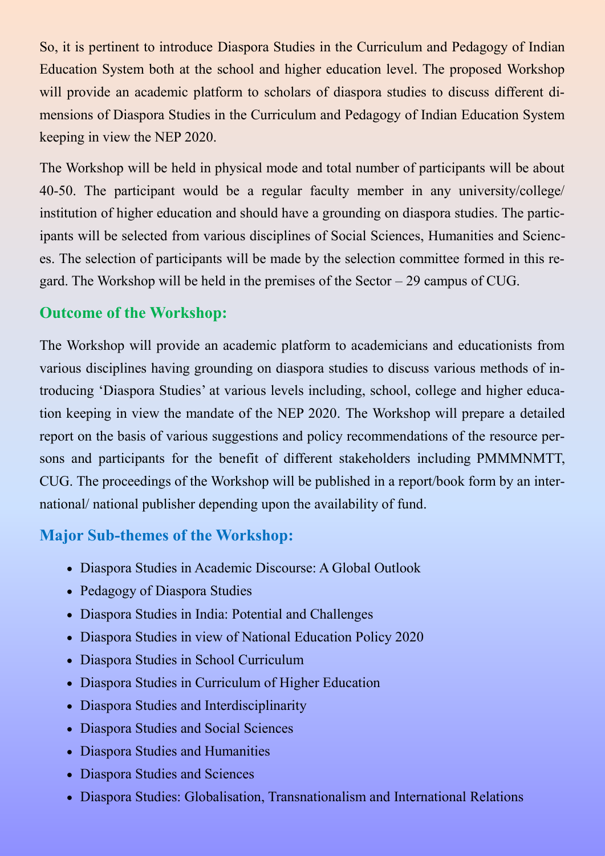So, it is pertinent to introduce Diaspora Studies in the Curriculum and Pedagogy of Indian Education System both at the school and higher education level. The proposed Workshop will provide an academic platform to scholars of diaspora studies to discuss different dimensions of Diaspora Studies in the Curriculum and Pedagogy of Indian Education System keeping in view the NEP 2020.

The Workshop will be held in physical mode and total number of participants will be about 40-50. The participant would be a regular faculty member in any university/college/ institution of higher education and should have a grounding on diaspora studies. The participants will be selected from various disciplines of Social Sciences, Humanities and Sciences. The selection of participants will be made by the selection committee formed in this regard. The Workshop will be held in the premises of the Sector – 29 campus of CUG.

## **Outcome of the Workshop:**

The Workshop will provide an academic platform to academicians and educationists from various disciplines having grounding on diaspora studies to discuss various methods of introducing 'Diaspora Studies' at various levels including, school, college and higher education keeping in view the mandate of the NEP 2020. The Workshop will prepare a detailed report on the basis of various suggestions and policy recommendations of the resource persons and participants for the benefit of different stakeholders including PMMMNMTT, CUG. The proceedings of the Workshop will be published in a report/book form by an international/ national publisher depending upon the availability of fund.

# **Major Sub-themes of the Workshop:**

- Diaspora Studies in Academic Discourse: A Global Outlook
- Pedagogy of Diaspora Studies
- Diaspora Studies in India: Potential and Challenges
- Diaspora Studies in view of National Education Policy 2020
- Diaspora Studies in School Curriculum
- Diaspora Studies in Curriculum of Higher Education
- Diaspora Studies and Interdisciplinarity
- Diaspora Studies and Social Sciences
- Diaspora Studies and Humanities
- Diaspora Studies and Sciences
- Diaspora Studies: Globalisation, Transnationalism and International Relations